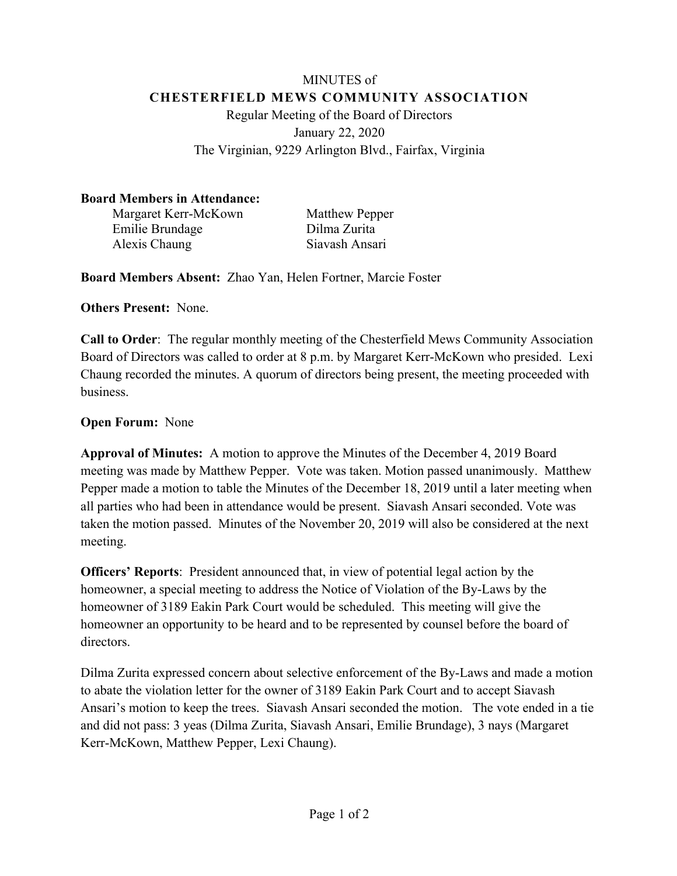## MINUTES of **CHESTERFIELD MEWS COMMUNITY ASSOCIATION** Regular Meeting of the Board of Directors January 22, 2020 The Virginian, 9229 Arlington Blvd., Fairfax, Virginia

## **Board Members in Attendance:**

Margaret Kerr-McKown Matthew Pepper Emilie Brundage Dilma Zurita Alexis Chaung Siavash Ansari

**Board Members Absent:** Zhao Yan, Helen Fortner, Marcie Foster

**Others Present:** None.

**Call to Order**: The regular monthly meeting of the Chesterfield Mews Community Association Board of Directors was called to order at 8 p.m. by Margaret Kerr-McKown who presided. Lexi Chaung recorded the minutes. A quorum of directors being present, the meeting proceeded with business.

## **Open Forum:** None

**Approval of Minutes:** A motion to approve the Minutes of the December 4, 2019 Board meeting was made by Matthew Pepper. Vote was taken. Motion passed unanimously. Matthew Pepper made a motion to table the Minutes of the December 18, 2019 until a later meeting when all parties who had been in attendance would be present. Siavash Ansari seconded. Vote was taken the motion passed. Minutes of the November 20, 2019 will also be considered at the next meeting.

**Officers' Reports**: President announced that, in view of potential legal action by the homeowner, a special meeting to address the Notice of Violation of the By-Laws by the homeowner of 3189 Eakin Park Court would be scheduled. This meeting will give the homeowner an opportunity to be heard and to be represented by counsel before the board of directors.

Dilma Zurita expressed concern about selective enforcement of the By-Laws and made a motion to abate the violation letter for the owner of 3189 Eakin Park Court and to accept Siavash Ansari's motion to keep the trees. Siavash Ansari seconded the motion. The vote ended in a tie and did not pass: 3 yeas (Dilma Zurita, Siavash Ansari, Emilie Brundage), 3 nays (Margaret Kerr-McKown, Matthew Pepper, Lexi Chaung).